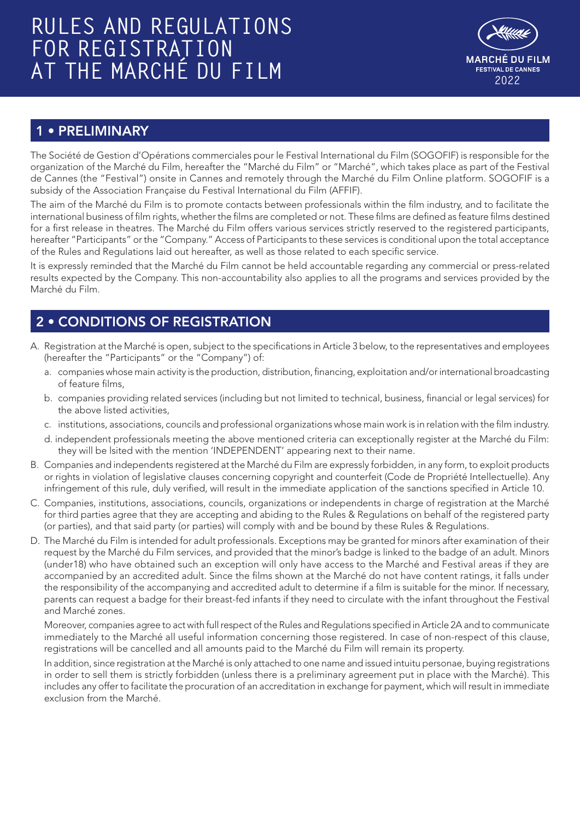# **RULES AND REGULATIONS FOR REGISTRATION AT THE MARCHÉ DU FILM AT THE MARCHÉ DU FILM**



# 1 • PRELIMINARY

The Société de Gestion d'Opérations commerciales pour le Festival International du Film (SOGOFIF) is responsible for the organization of the Marché du Film, hereafter the "Marché du Film" or "Marché", which takes place as part of the Festival de Cannes (the "Festival") onsite in Cannes and remotely through the Marché du Film Online platform. SOGOFIF is a subsidy of the Association Française du Festival International du Film (AFFIF).

The aim of the Marché du Film is to promote contacts between professionals within the film industry, and to facilitate the international business of film rights, whether the films are completed or not. These films are defined as feature films destined for a first release in theatres. The Marché du Film offers various services strictly reserved to the registered participants, hereafter "Participants" or the "Company." Access of Participants to these services is conditional upon the total acceptance of the Rules and Regulations laid out hereafter, as well as those related to each specific service.

It is expressly reminded that the Marché du Film cannot be held accountable regarding any commercial or press-related results expected by the Company. This non-accountability also applies to all the programs and services provided by the Marché du Film.

# 2 • CONDITIONS OF REGISTRATION

- A. Registration at the Marché is open, subject to the specifications in Article 3 below, to the representatives and employees (hereafter the "Participants" or the "Company") of:
	- a. companies whose main activity is the production, distribution, financing, exploitation and/or international broadcasting of feature films,
	- b. companies providing related services (including but not limited to technical, business, financial or legal services) for the above listed activities,
	- c. institutions, associations, councils and professional organizations whose main work is in relation with the film industry.
	- d. independent professionals meeting the above mentioned criteria can exceptionally register at the Marché du Film: they will be lsited with the mention 'INDEPENDENT' appearing next to their name.
- B. Companies and independents registered at the Marché du Film are expressly forbidden, in any form, to exploit products or rights in violation of legislative clauses concerning copyright and counterfeit (Code de Propriété Intellectuelle). Any infringement of this rule, duly verified, will result in the immediate application of the sanctions specified in Article 10.
- C. Companies, institutions, associations, councils, organizations or independents in charge of registration at the Marché for third parties agree that they are accepting and abiding to the Rules & Regulations on behalf of the registered party (or parties), and that said party (or parties) will comply with and be bound by these Rules & Regulations.
- D. The Marché du Film is intended for adult professionals. Exceptions may be granted for minors after examination of their request by the Marché du Film services, and provided that the minor's badge is linked to the badge of an adult. Minors (under18) who have obtained such an exception will only have access to the Marché and Festival areas if they are accompanied by an accredited adult. Since the films shown at the Marché do not have content ratings, it falls under the responsibility of the accompanying and accredited adult to determine if a film is suitable for the minor. If necessary, parents can request a badge for their breast-fed infants if they need to circulate with the infant throughout the Festival and Marché zones.

Moreover, companies agree to act with full respect of the Rules and Regulations specified in Article 2A and to communicate immediately to the Marché all useful information concerning those registered. In case of non-respect of this clause, registrations will be cancelled and all amounts paid to the Marché du Film will remain its property.

In addition, since registration at the Marché is only attached to one name and issued intuitu personae, buying registrations in order to sell them is strictly forbidden (unless there is a preliminary agreement put in place with the Marché). This includes any offer to facilitate the procuration of an accreditation in exchange for payment, which will result in immediate exclusion from the Marché.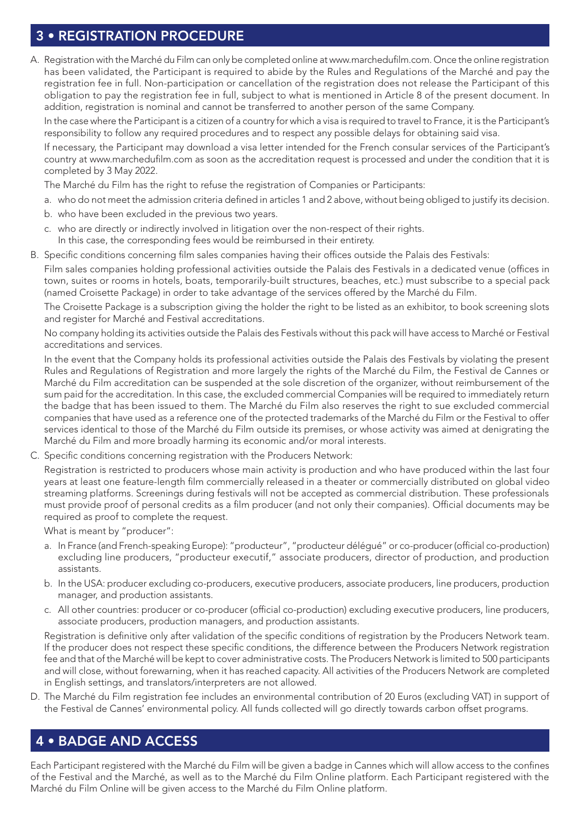## 3 • REGISTRATION PROCEDURE

A. Registration with the Marché du Film can only be completed online at www.marchedufilm.com. Once the online registration has been validated, the Participant is required to abide by the Rules and Regulations of the Marché and pay the registration fee in full. Non-participation or cancellation of the registration does not release the Participant of this obligation to pay the registration fee in full, subject to what is mentioned in Article 8 of the present document. In addition, registration is nominal and cannot be transferred to another person of the same Company.

In the case where the Participant is a citizen of a country for which a visa is required to travel to France, it is the Participant's responsibility to follow any required procedures and to respect any possible delays for obtaining said visa.

If necessary, the Participant may download a visa letter intended for the French consular services of the Participant's country at www.marchedufilm.com as soon as the accreditation request is processed and under the condition that it is completed by 3 May 2022.

The Marché du Film has the right to refuse the registration of Companies or Participants:

- a. who do not meet the admission criteria defined in articles 1 and 2 above, without being obliged to justify its decision.
- b. who have been excluded in the previous two years.
- c. who are directly or indirectly involved in litigation over the non-respect of their rights.
- In this case, the corresponding fees would be reimbursed in their entirety.
- B. Specific conditions concerning film sales companies having their offices outside the Palais des Festivals:

Film sales companies holding professional activities outside the Palais des Festivals in a dedicated venue (offices in town, suites or rooms in hotels, boats, temporarily-built structures, beaches, etc.) must subscribe to a special pack (named Croisette Package) in order to take advantage of the services offered by the Marché du Film.

The Croisette Package is a subscription giving the holder the right to be listed as an exhibitor, to book screening slots and register for Marché and Festival accreditations.

No company holding its activities outside the Palais des Festivals without this pack will have access to Marché or Festival accreditations and services.

In the event that the Company holds its professional activities outside the Palais des Festivals by violating the present Rules and Regulations of Registration and more largely the rights of the Marché du Film, the Festival de Cannes or Marché du Film accreditation can be suspended at the sole discretion of the organizer, without reimbursement of the sum paid for the accreditation. In this case, the excluded commercial Companies will be required to immediately return the badge that has been issued to them. The Marché du Film also reserves the right to sue excluded commercial companies that have used as a reference one of the protected trademarks of the Marché du Film or the Festival to offer services identical to those of the Marché du Film outside its premises, or whose activity was aimed at denigrating the Marché du Film and more broadly harming its economic and/or moral interests.

C. Specific conditions concerning registration with the Producers Network:

Registration is restricted to producers whose main activity is production and who have produced within the last four years at least one feature-length film commercially released in a theater or commercially distributed on global video streaming platforms. Screenings during festivals will not be accepted as commercial distribution. These professionals must provide proof of personal credits as a film producer (and not only their companies). Official documents may be required as proof to complete the request.

What is meant by "producer":

- a. In France (and French-speaking Europe): "producteur", "producteur délégué" or co-producer (official co-production) excluding line producers, "producteur executif," associate producers, director of production, and production assistants.
- b. In the USA: producer excluding co-producers, executive producers, associate producers, line producers, production manager, and production assistants.
- c. All other countries: producer or co-producer (official co-production) excluding executive producers, line producers, associate producers, production managers, and production assistants.

Registration is definitive only after validation of the specific conditions of registration by the Producers Network team. If the producer does not respect these specific conditions, the difference between the Producers Network registration fee and that of the Marché will be kept to cover administrative costs. The Producers Network is limited to 500 participants and will close, without forewarning, when it has reached capacity. All activities of the Producers Network are completed in English settings, and translators/interpreters are not allowed.

D. The Marché du Film registration fee includes an environmental contribution of 20 Euros (excluding VAT) in support of the Festival de Cannes' environmental policy. All funds collected will go directly towards carbon offset programs.

#### 4 • BADGE AND ACCESS

Each Participant registered with the Marché du Film will be given a badge in Cannes which will allow access to the confines of the Festival and the Marché, as well as to the Marché du Film Online platform. Each Participant registered with the Marché du Film Online will be given access to the Marché du Film Online platform.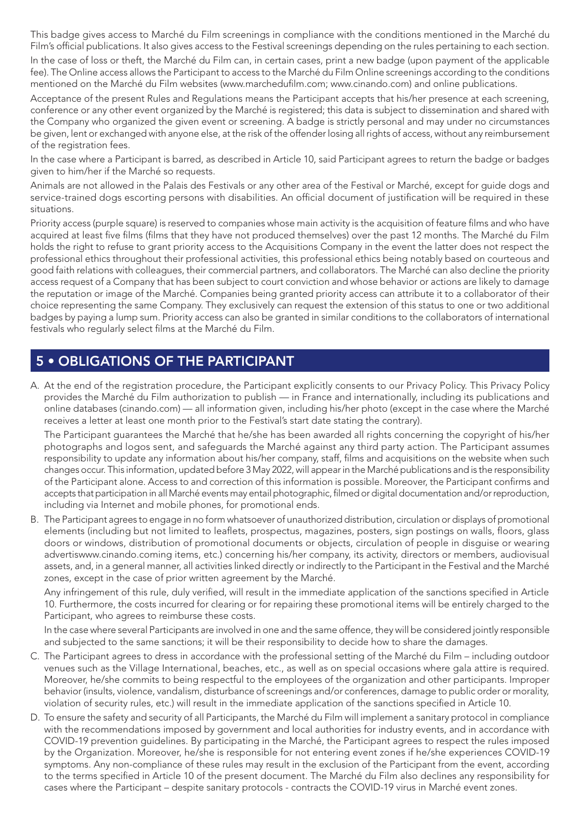This badge gives access to Marché du Film screenings in compliance with the conditions mentioned in the Marché du Film's official publications. It also gives access to the Festival screenings depending on the rules pertaining to each section. In the case of loss or theft, the Marché du Film can, in certain cases, print a new badge (upon payment of the applicable fee). The Online access allows the Participant to access to the Marché du Film Online screenings according to the conditions mentioned on the Marché du Film websites (www.marchedufilm.com; www.cinando.com) and online publications.

Acceptance of the present Rules and Regulations means the Participant accepts that his/her presence at each screening, conference or any other event organized by the Marché is registered; this data is subject to dissemination and shared with the Company who organized the given event or screening. A badge is strictly personal and may under no circumstances be given, lent or exchanged with anyone else, at the risk of the offender losing all rights of access, without any reimbursement of the registration fees.

In the case where a Participant is barred, as described in Article 10, said Participant agrees to return the badge or badges given to him/her if the Marché so requests.

Animals are not allowed in the Palais des Festivals or any other area of the Festival or Marché, except for guide dogs and service-trained dogs escorting persons with disabilities. An official document of justification will be required in these situations.

Priority access (purple square) is reserved to companies whose main activity is the acquisition of feature films and who have acquired at least five films (films that they have not produced themselves) over the past 12 months. The Marché du Film holds the right to refuse to grant priority access to the Acquisitions Company in the event the latter does not respect the professional ethics throughout their professional activities, this professional ethics being notably based on courteous and good faith relations with colleagues, their commercial partners, and collaborators. The Marché can also decline the priority access request of a Company that has been subject to court conviction and whose behavior or actions are likely to damage the reputation or image of the Marché. Companies being granted priority access can attribute it to a collaborator of their choice representing the same Company. They exclusively can request the extension of this status to one or two additional badges by paying a lump sum. Priority access can also be granted in similar conditions to the collaborators of international festivals who regularly select films at the Marché du Film.

#### 5 • OBLIGATIONS OF THE PARTICIPANT

A. At the end of the registration procedure, the Participant explicitly consents to our Privacy Policy. This Privacy Policy provides the Marché du Film authorization to publish — in France and internationally, including its publications and online databases (cinando.com) — all information given, including his/her photo (except in the case where the Marché receives a letter at least one month prior to the Festival's start date stating the contrary).

The Participant guarantees the Marché that he/she has been awarded all rights concerning the copyright of his/her photographs and logos sent, and safeguards the Marché against any third party action. The Participant assumes responsibility to update any information about his/her company, staff, films and acquisitions on the website when such changes occur. This information, updated before 3 May 2022, will appear in the Marché publications and is the responsibility of the Participant alone. Access to and correction of this information is possible. Moreover, the Participant confirms and accepts that participation in all Marché events may entail photographic, filmed or digital documentation and/or reproduction, including via Internet and mobile phones, for promotional ends.

B. The Participant agrees to engage in no form whatsoever of unauthorized distribution, circulation or displays of promotional elements (including but not limited to leaflets, prospectus, magazines, posters, sign postings on walls, floors, glass doors or windows, distribution of promotional documents or objects, circulation of people in disguise or wearing advertiswww.cinando.coming items, etc.) concerning his/her company, its activity, directors or members, audiovisual assets, and, in a general manner, all activities linked directly or indirectly to the Participant in the Festival and the Marché zones, except in the case of prior written agreement by the Marché.

Any infringement of this rule, duly verified, will result in the immediate application of the sanctions specified in Article 10. Furthermore, the costs incurred for clearing or for repairing these promotional items will be entirely charged to the Participant, who agrees to reimburse these costs.

In the case where several Participants are involved in one and the same offence, they will be considered jointly responsible and subjected to the same sanctions; it will be their responsibility to decide how to share the damages.

- C. The Participant agrees to dress in accordance with the professional setting of the Marché du Film including outdoor venues such as the Village International, beaches, etc., as well as on special occasions where gala attire is required. Moreover, he/she commits to being respectful to the employees of the organization and other participants. Improper behavior (insults, violence, vandalism, disturbance of screenings and/or conferences, damage to public order or morality, violation of security rules, etc.) will result in the immediate application of the sanctions specified in Article 10.
- D. To ensure the safety and security of all Participants, the Marché du Film will implement a sanitary protocol in compliance with the recommendations imposed by government and local authorities for industry events, and in accordance with COVID-19 prevention guidelines. By participating in the Marché, the Participant agrees to respect the rules imposed by the Organization. Moreover, he/she is responsible for not entering event zones if he/she experiences COVID-19 symptoms. Any non-compliance of these rules may result in the exclusion of the Participant from the event, according to the terms specified in Article 10 of the present document. The Marché du Film also declines any responsibility for cases where the Participant – despite sanitary protocols - contracts the COVID-19 virus in Marché event zones.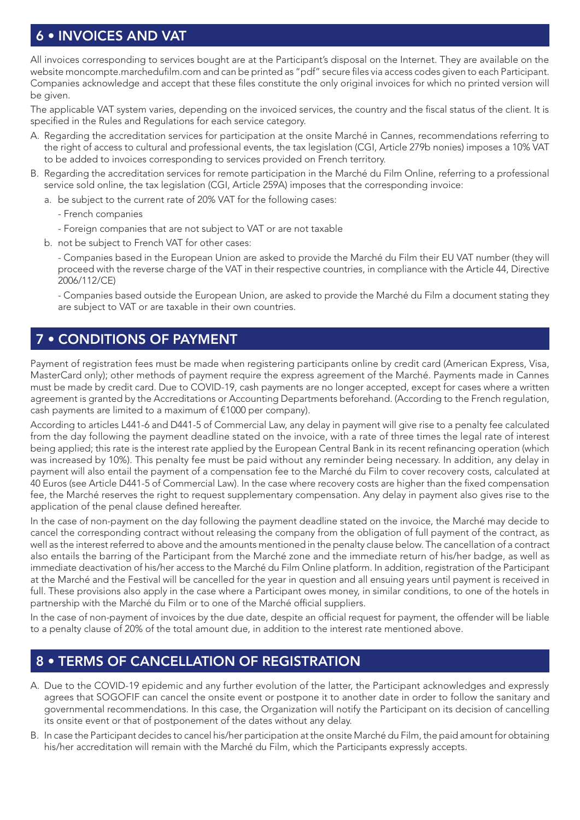# 6 • INVOICES AND VAT

All invoices corresponding to services bought are at the Participant's disposal on the Internet. They are available on the website moncompte.marchedufilm.com and can be printed as "pdf" secure files via access codes given to each Participant. Companies acknowledge and accept that these files constitute the only original invoices for which no printed version will be given.

The applicable VAT system varies, depending on the invoiced services, the country and the fiscal status of the client. It is specified in the Rules and Regulations for each service category.

- A. Regarding the accreditation services for participation at the onsite Marché in Cannes, recommendations referring to the right of access to cultural and professional events, the tax legislation (CGI, Article 279b nonies) imposes a 10% VAT to be added to invoices corresponding to services provided on French territory.
- B. Regarding the accreditation services for remote participation in the Marché du Film Online, referring to a professional service sold online, the tax legislation (CGI, Article 259A) imposes that the corresponding invoice:
	- a. be subject to the current rate of 20% VAT for the following cases:
		- French companies
		- Foreign companies that are not subject to VAT or are not taxable
	- b. not be subject to French VAT for other cases:

- Companies based in the European Union are asked to provide the Marché du Film their EU VAT number (they will proceed with the reverse charge of the VAT in their respective countries, in compliance with the Article 44, Directive 2006/112/CE)

- Companies based outside the European Union, are asked to provide the Marché du Film a document stating they are subject to VAT or are taxable in their own countries.

## 7 • CONDITIONS OF PAYMENT

Payment of registration fees must be made when registering participants online by credit card (American Express, Visa, MasterCard only); other methods of payment require the express agreement of the Marché. Payments made in Cannes must be made by credit card. Due to COVID-19, cash payments are no longer accepted, except for cases where a written agreement is granted by the Accreditations or Accounting Departments beforehand. (According to the French regulation, cash payments are limited to a maximum of €1000 per company).

According to articles L441-6 and D441-5 of Commercial Law, any delay in payment will give rise to a penalty fee calculated from the day following the payment deadline stated on the invoice, with a rate of three times the legal rate of interest being applied; this rate is the interest rate applied by the European Central Bank in its recent refinancing operation (which was increased by 10%). This penalty fee must be paid without any reminder being necessary. In addition, any delay in payment will also entail the payment of a compensation fee to the Marché du Film to cover recovery costs, calculated at 40 Euros (see Article D441-5 of Commercial Law). In the case where recovery costs are higher than the fixed compensation fee, the Marché reserves the right to request supplementary compensation. Any delay in payment also gives rise to the application of the penal clause defined hereafter.

In the case of non-payment on the day following the payment deadline stated on the invoice, the Marché may decide to cancel the corresponding contract without releasing the company from the obligation of full payment of the contract, as well as the interest referred to above and the amounts mentioned in the penalty clause below. The cancellation of a contract also entails the barring of the Participant from the Marché zone and the immediate return of his/her badge, as well as immediate deactivation of his/her access to the Marché du Film Online platform. In addition, registration of the Participant at the Marché and the Festival will be cancelled for the year in question and all ensuing years until payment is received in full. These provisions also apply in the case where a Participant owes money, in similar conditions, to one of the hotels in partnership with the Marché du Film or to one of the Marché official suppliers.

In the case of non-payment of invoices by the due date, despite an official request for payment, the offender will be liable to a penalty clause of 20% of the total amount due, in addition to the interest rate mentioned above.

#### 8 • TERMS OF CANCELLATION OF REGISTRATION

- A. Due to the COVID-19 epidemic and any further evolution of the latter, the Participant acknowledges and expressly agrees that SOGOFIF can cancel the onsite event or postpone it to another date in order to follow the sanitary and governmental recommendations. In this case, the Organization will notify the Participant on its decision of cancelling its onsite event or that of postponement of the dates without any delay.
- B. In case the Participant decides to cancel his/her participation at the onsite Marché du Film, the paid amount for obtaining his/her accreditation will remain with the Marché du Film, which the Participants expressly accepts.